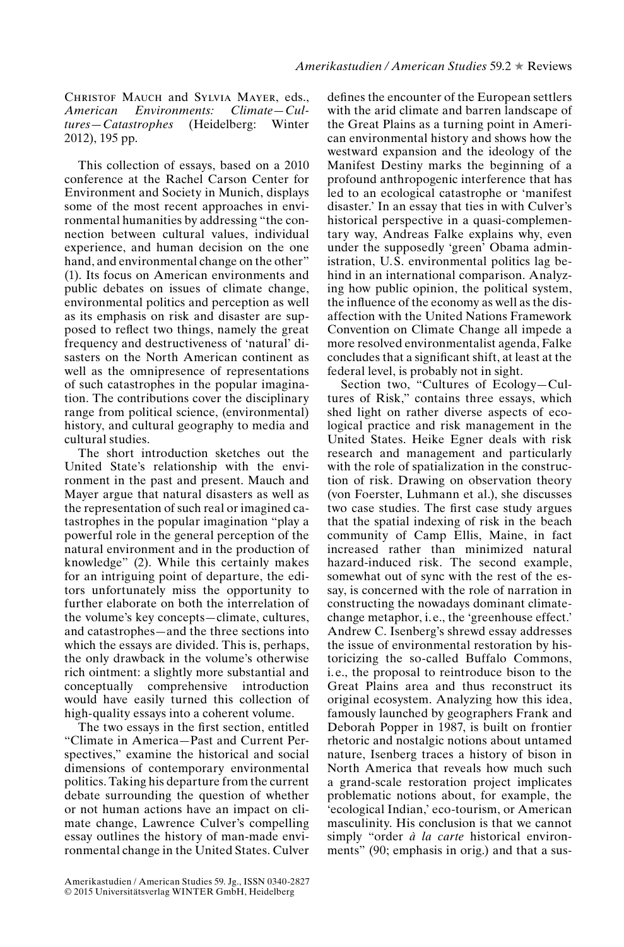Christof Mauch and Sylvia Mayer, eds., *American Environments: Climate—Cul* $tures–Catastrophes$  (Heidelberg: 2012), 195 pp.

This collection of essays, based on a 2010 conference at the Rachel Carson Center for Environment and Society in Munich, displays some of the most recent approaches in environmental humanities by addressing "the connection between cultural values, individual experience, and human decision on the one hand, and environmental change on the other" (1). Its focus on American environments and public debates on issues of climate change, environmental politics and perception as well as its emphasis on risk and disaster are supposed to reflect two things, namely the great frequency and destructiveness of 'natural' disasters on the North American continent as well as the omnipresence of representations of such catastrophes in the popular imagination. The contributions cover the disciplinary range from political science, (environmental) history, and cultural geography to media and cultural studies.

The short introduction sketches out the United State's relationship with the environment in the past and present. Mauch and Mayer argue that natural disasters as well as the representation of such real or imagined catastrophes in the popular imagination "play a powerful role in the general perception of the natural environment and in the production of knowledge" (2). While this certainly makes for an intriguing point of departure, the editors unfortunately miss the opportunity to further elaborate on both the interrelation of the volume's key concepts—climate, cultures, and catastrophes—and the three sections into which the essays are divided. This is, perhaps, the only drawback in the volume's otherwise rich ointment: a slightly more substantial and conceptually comprehensive introduction would have easily turned this collection of high-quality essays into a coherent volume.

The two essays in the first section, entitled "Climate in America—Past and Current Perspectives," examine the historical and social dimensions of contemporary environmental politics. Taking his departure from the current debate surrounding the question of whether or not human actions have an impact on climate change, Lawrence Culver's compelling essay outlines the history of man-made environmental change in the United States. Culver

Amerikastudien / American Studies 59. Jg., ISSN 0340-2827 © 2015 Universitätsverlag WINTER GmbH, Heidelberg

defines the encounter of the European settlers with the arid climate and barren landscape of the Great Plains as a turning point in American environmental history and shows how the westward expansion and the ideology of the Manifest Destiny marks the beginning of a profound anthropogenic interference that has led to an ecological catastrophe or 'manifest disaster.' In an essay that ties in with Culver's historical perspective in a quasi-complementary way, Andreas Falke explains why, even under the supposedly 'green' Obama administration, U.S. environmental politics lag behind in an international comparison. Analyzing how public opinion, the political system, the influence of the economy as well as the disaffection with the United Nations Framework Convention on Climate Change all impede a more resolved environmentalist agenda, Falke concludes that a signicant shift, at least at the federal level, is probably not in sight.

Section two, "Cultures of Ecology—Cultures of Risk," contains three essays, which shed light on rather diverse aspects of ecological practice and risk management in the United States. Heike Egner deals with risk research and management and particularly with the role of spatialization in the construction of risk. Drawing on observation theory (von Foerster, Luhmann et al.), she discusses two case studies. The first case study argues that the spatial indexing of risk in the beach community of Camp Ellis, Maine, in fact increased rather than minimized natural hazard-induced risk. The second example, somewhat out of sync with the rest of the essay, is concerned with the role of narration in constructing the nowadays dominant climatechange metaphor, i. e., the 'greenhouse effect.' Andrew C. Isenberg's shrewd essay addresses the issue of environmental restoration by historicizing the so-called Buffalo Commons, i.e., the proposal to reintroduce bison to the Great Plains area and thus reconstruct its original ecosystem. Analyzing how this idea, famously launched by geographers Frank and Deborah Popper in 1987, is built on frontier rhetoric and nostalgic notions about untamed nature, Isenberg traces a history of bison in North America that reveals how much such a grand-scale restoration project implicates problematic notions about, for example, the 'ecological Indian,' eco-tourism, or American masculinity. His conclusion is that we cannot simply "order *à la carte* historical environments" (90; emphasis in orig.) and that a sus